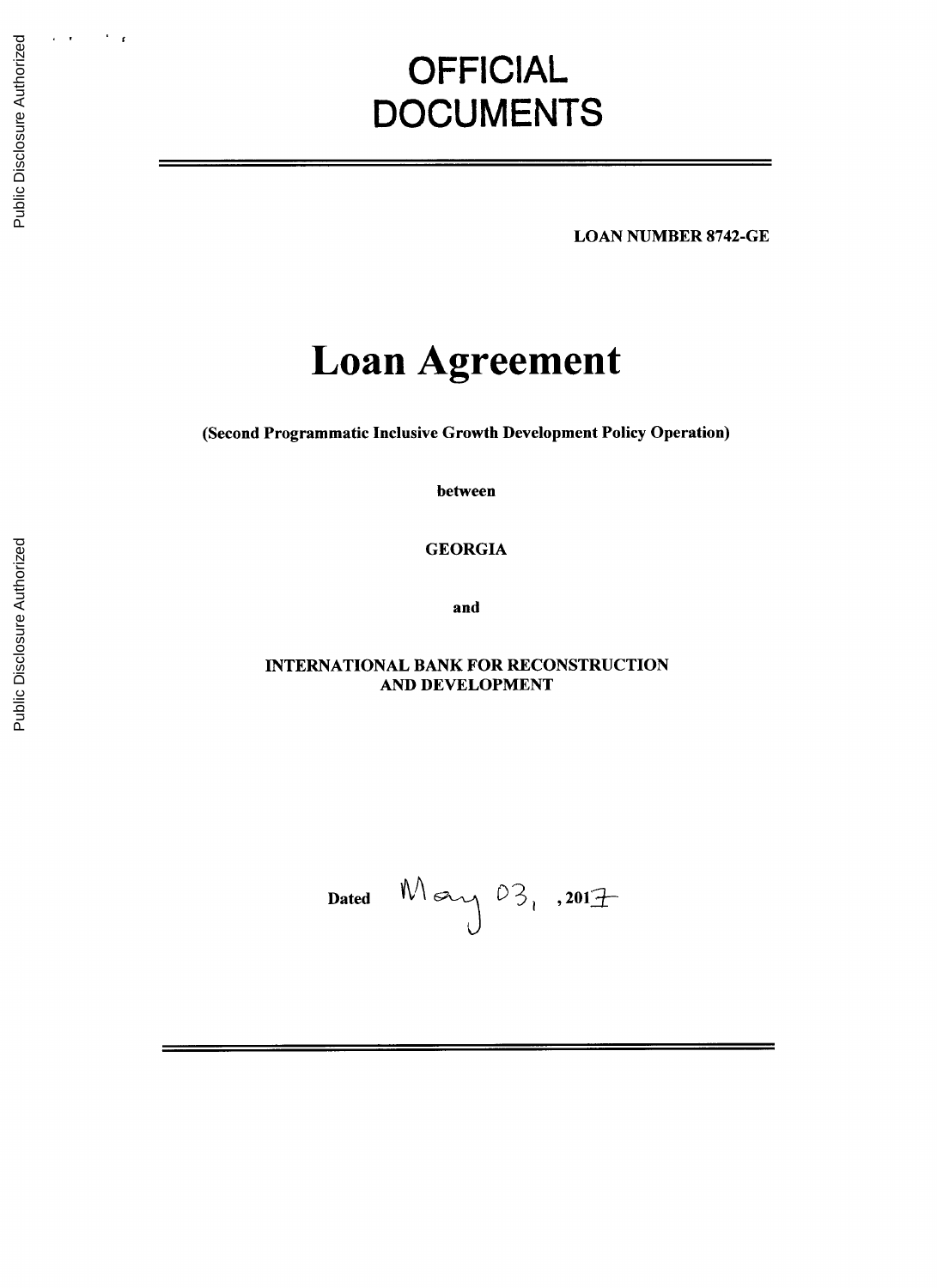# **OFFICIAL DOCUMENTS**

**LOAN NUMBER 8742-GE**

# **Loan Agreement**

(Second Programmatic Inclusive Growth Development Policy Operation)

between

**GEORGIA**

and

**INTERNATIONAL** BANK FOR **RECONSTRUCTION AND DEVELOPMENT**

Dated  $M$   $\alpha$   $\sqrt{03}$ , .2017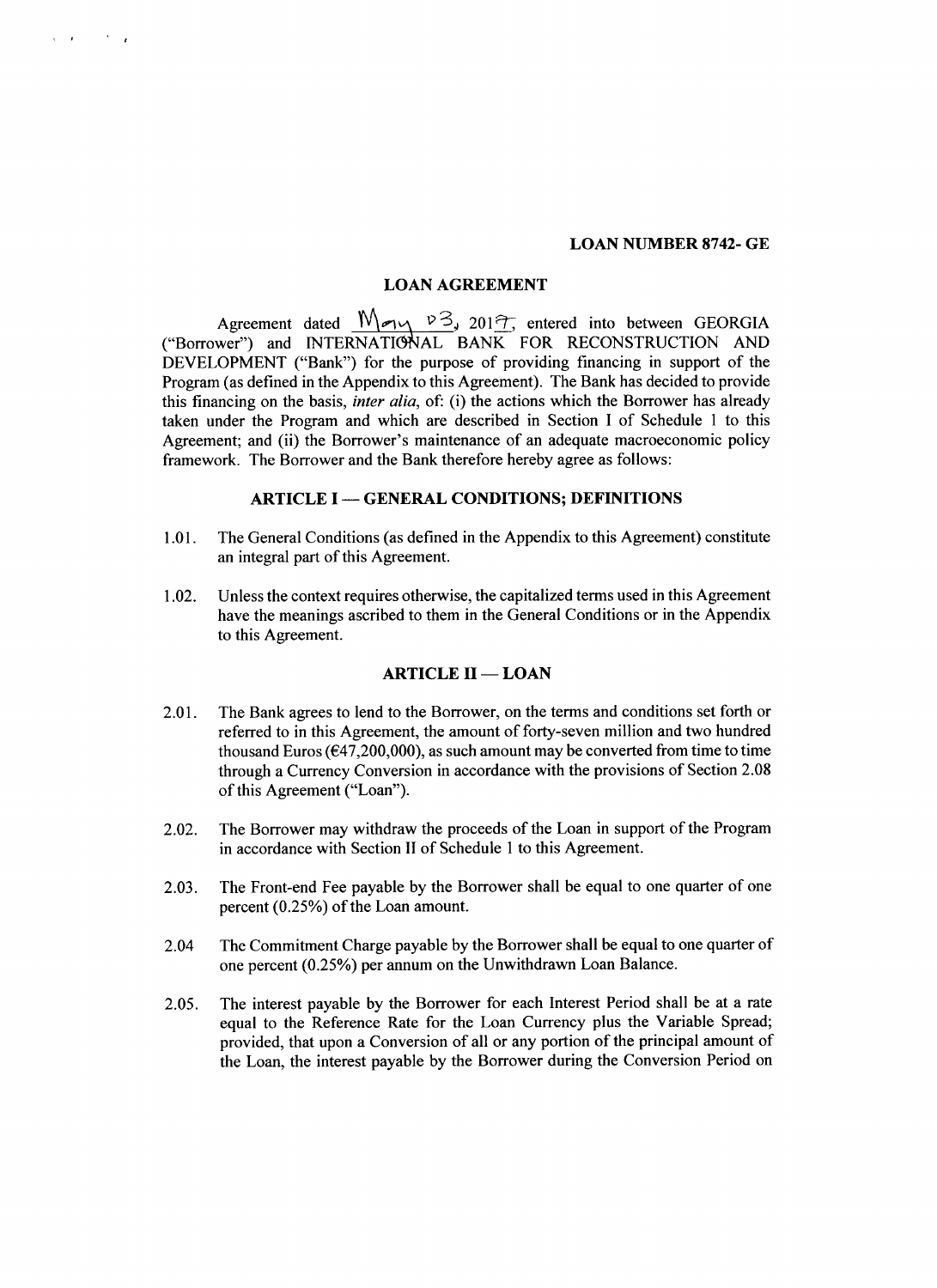#### **LOAN NUMBER 8742- GE**

#### **LOAN AGREEMENT**

 $\lambda$  .  $\lambda$ 

Agreement dated  $\frac{M_{\text{e}} \vee 3}{201}$ , 201<sup> $\frac{3}{2}$ </sup>, entered into between GEORGIA ("Borrower") and INTERNATIONAL BANK FOR **RECONSTRUCTION AND DEVELOPMENT** ("Bank") for the purpose of providing financing in support of the Program (as defined in the Appendix to this Agreement). The Bank has decided to provide this financing on the basis, *inter alia,* of: (i) the actions which the Borrower has already taken under the Program and which are described in Section **I** of Schedule 1 to this Agreement; and (ii) the Borrower's maintenance of an adequate macroeconomic policy framework. The Borrower and the Bank therefore hereby agree as follows:

# **ARTICLE I - GENERAL CONDITIONS; DEFINITIONS**

- **1.01.** The General Conditions (as defined in the Appendix to this Agreement) constitute an integral part of this Agreement.
- 1.02. Unless the context requires otherwise, the capitalized terms used in this Agreement have the meanings ascribed to them in the General Conditions or in the Appendix to this Agreement.

# **ARTICLE II - LOAN**

- 2.01. The Bank agrees to lend to the Borrower, on the terms and conditions set forth or referred to in this Agreement, the amount of forty-seven million and two hundred thousand Euros ( $\epsilon$ 47,200,000), as such amount may be converted from time to time through a Currency Conversion in accordance with the provisions of Section **2.08** of this Agreement ("Loan").
- 2.02. The Borrower may withdraw the proceeds of the Loan in support of the Program in accordance with Section II of Schedule 1 to this Agreement.
- **2.03.** The Front-end Fee payable **by** the Borrower shall be equal to one quarter of one percent *(0.25%)* of the Loan amount.
- 2.04 The Commitment Charge payable **by** the Borrower shall be equal to one quarter of one percent *(0.25%)* per annum on the Unwithdrawn Loan Balance.
- *2.05.* The interest payable **by** the Borrower for each Interest Period shall be at a rate equal to the Reference Rate for the Loan Currency plus the Variable Spread; provided, that upon a Conversion of all or any portion of the principal amount of the Loan, the interest payable **by** the Borrower during the Conversion Period on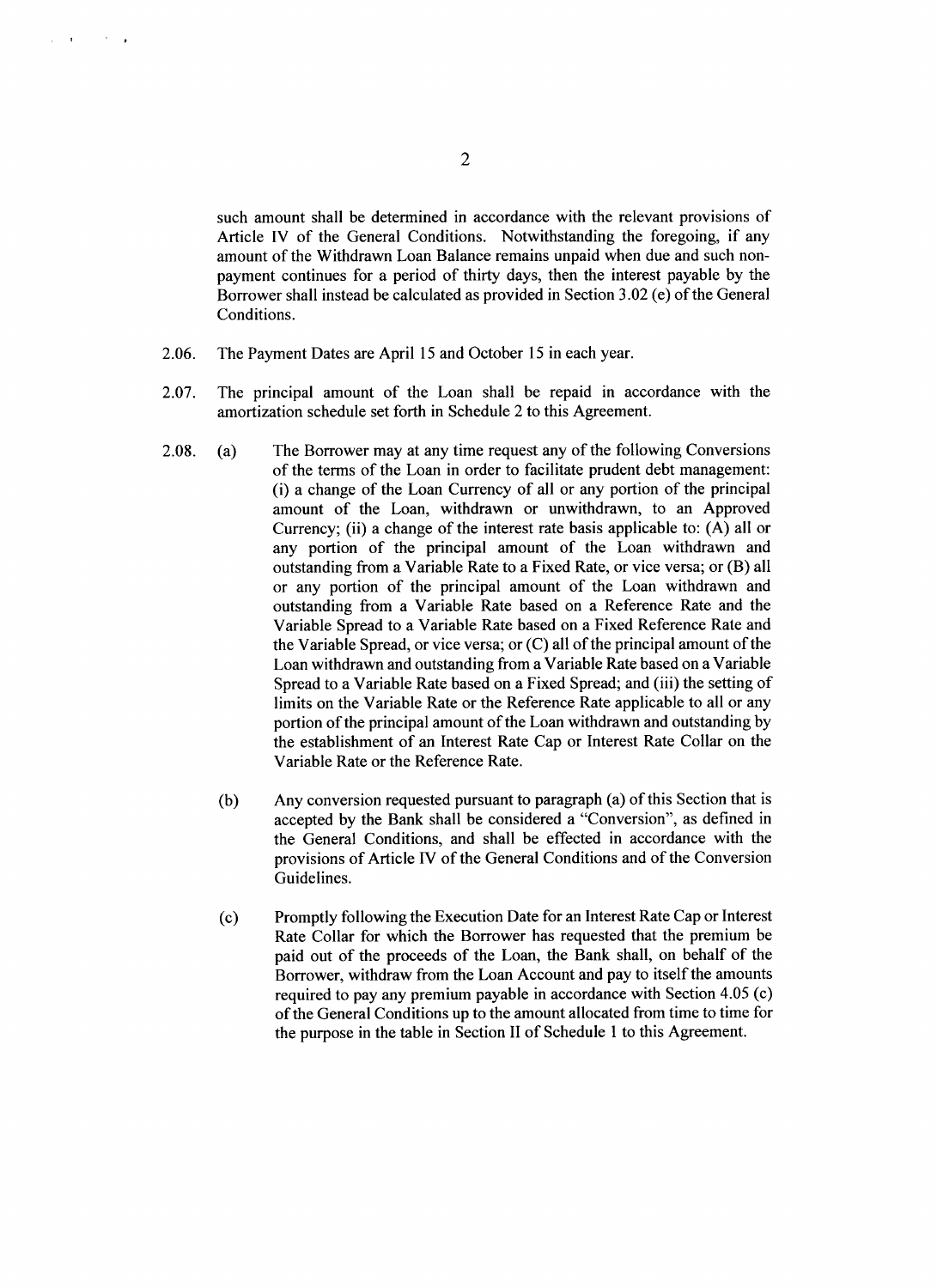such amount shall be determined in accordance with the relevant provisions of Article IV of the General Conditions. Notwithstanding the foregoing, if any amount of the Withdrawn Loan Balance remains unpaid when due and such nonpayment continues for a period of thirty days, then the interest payable **by** the Borrower shall instead be calculated as provided in Section **3.02** (e) of the General Conditions.

- **2.06.** The Payment Dates are April **15** and October **15** in each year.
- **2.07.** The principal amount of the Loan shall be repaid in accordance with the amortization schedule set forth in Schedule 2 to this Agreement.
- **2.08.** (a) The Borrower may at any time request any of the following Conversions of the terms of the Loan in order to facilitate prudent debt management: (i) a change of the Loan Currency of all or any portion of the principal amount of the Loan, withdrawn or unwithdrawn, to an Approved Currency; (ii) a change of the interest rate basis applicable to: **(A)** all or any portion of the principal amount of the Loan withdrawn and outstanding from a Variable Rate to a Fixed Rate, or vice versa; or (B) all or any portion of the principal amount of the Loan withdrawn and outstanding from a Variable Rate based on a Reference Rate and the Variable Spread to a Variable Rate based on a Fixed Reference Rate and the Variable Spread, or vice versa; or **(C)** all of the principal amount of the Loan withdrawn and outstanding from a Variable Rate based on a Variable Spread to a Variable Rate based on a Fixed Spread; and (iii) the setting of limits on the Variable Rate or the Reference Rate applicable to all or any portion of the principal amount of the Loan withdrawn and outstanding **by** the establishment of an Interest Rate Cap or Interest Rate Collar on the Variable Rate or the Reference Rate.
	- **(b)** Any conversion requested pursuant to paragraph (a) of this Section that is accepted **by** the Bank shall be considered a "Conversion", as defined in the General Conditions, and shall be effected in accordance with the provisions of Article **IV** of the General Conditions and of the Conversion Guidelines.
	- **(c)** Promptly following the Execution Date for an Interest Rate Cap or Interest Rate Collar for which the Borrower has requested that the premium be paid out of the proceeds of the Loan, the Bank shall, on behalf of the Borrower, withdraw from the Loan Account and pay to itself the amounts required to pay any premium payable in accordance with Section 4.05 (c) of the General Conditions up to the amount allocated from time to time for the purpose in the table in Section II of Schedule 1 to this Agreement.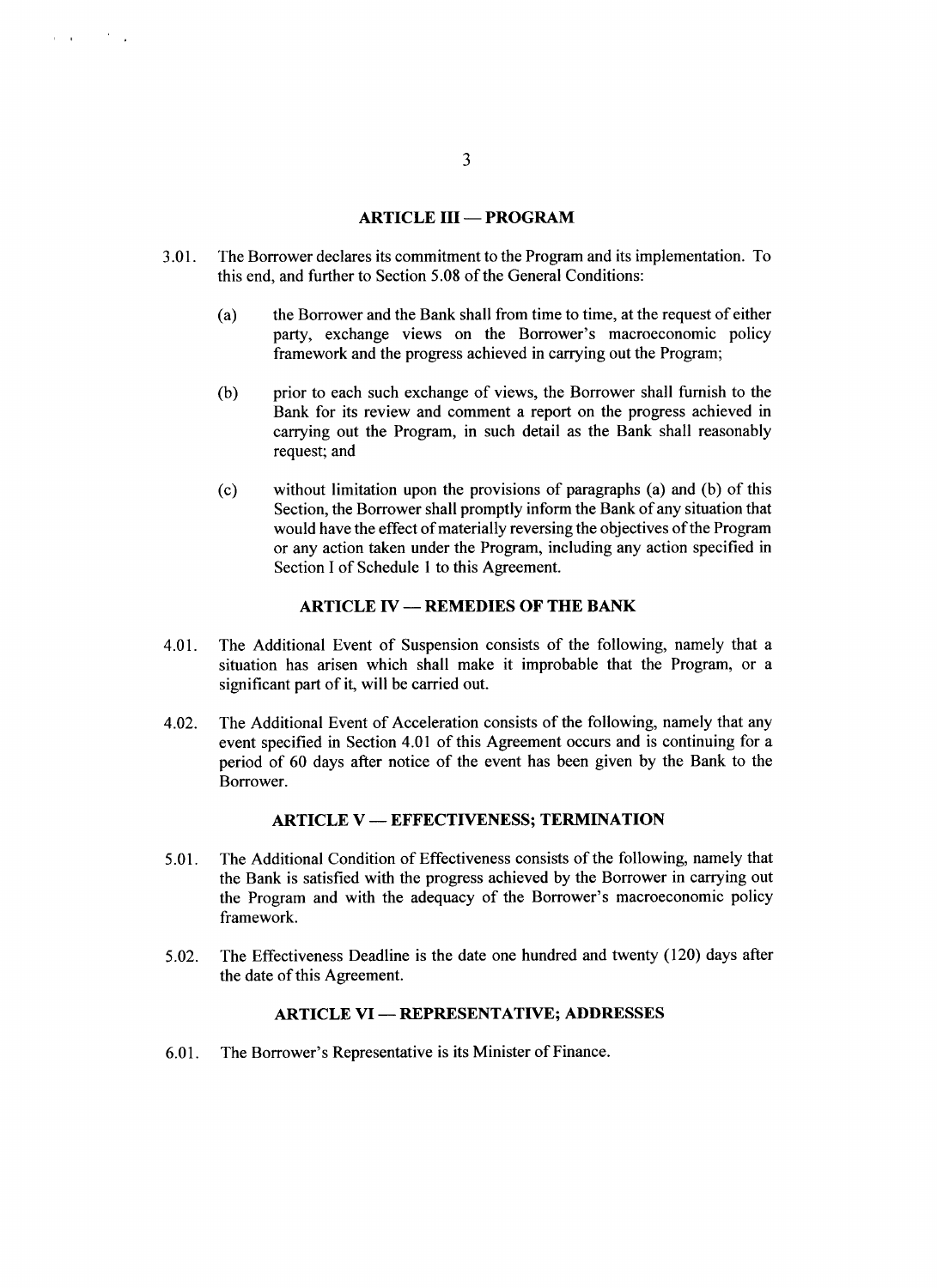#### **ARTICLE III - PROGRAM**

- **3.01.** The Borrower declares its commitment to the Program and its implementation. To this end, and further to Section *5.08* of the General Conditions:
	- (a) the Borrower and the Bank shall from time to time, at the request of either party, exchange views on the Borrower's macroeconomic policy framework and the progress achieved in carrying out the Program;
	- **(b)** prior to each such exchange of views, the Borrower shall furnish to the Bank for its review and comment a report on the progress achieved in carrying out the Program, in such detail as the Bank shall reasonably request; and
	- **(c)** without limitation upon the provisions of paragraphs (a) and **(b)** of this Section, the Borrower shall promptly inform the Bank of any situation that would have the effect of materially reversing the objectives of the Program or any action taken under the Program, including any action specified in Section **I** of Schedule 1 to this Agreement.

# **ARTICLE IV - REMEDIES OF THE BANK**

- 4.01. The Additional Event of Suspension consists of the following, namely that a situation has arisen which shall make it improbable that the Program, or a significant part of it, will be carried out.
- 4.02. The Additional Event of Acceleration consists of the following, namely that any event specified in Section 4.01 of this Agreement occurs and is continuing for a period of **60** days after notice of the event has been given **by** the Bank to the Borrower.

#### **ARTICLE V - EFFECTIVENESS; TERMINATION**

- **5.01.** The Additional Condition of Effectiveness consists of the following, namely that the Bank is satisfied with the progress achieved **by** the Borrower in carrying out the Program and with the adequacy of the Borrower's macroeconomic policy framework.
- *5.02.* The Effectiveness Deadline is the date one hundred and twenty (120) days after the date of this Agreement.

### **ARTICLE VI - REPRESENTATIVE; ADDRESSES**

**6.01.** The Borrower's Representative is its Minister of Finance.

**3**

 $\mathbf{r} = \mathbf{r} \mathbf{r}$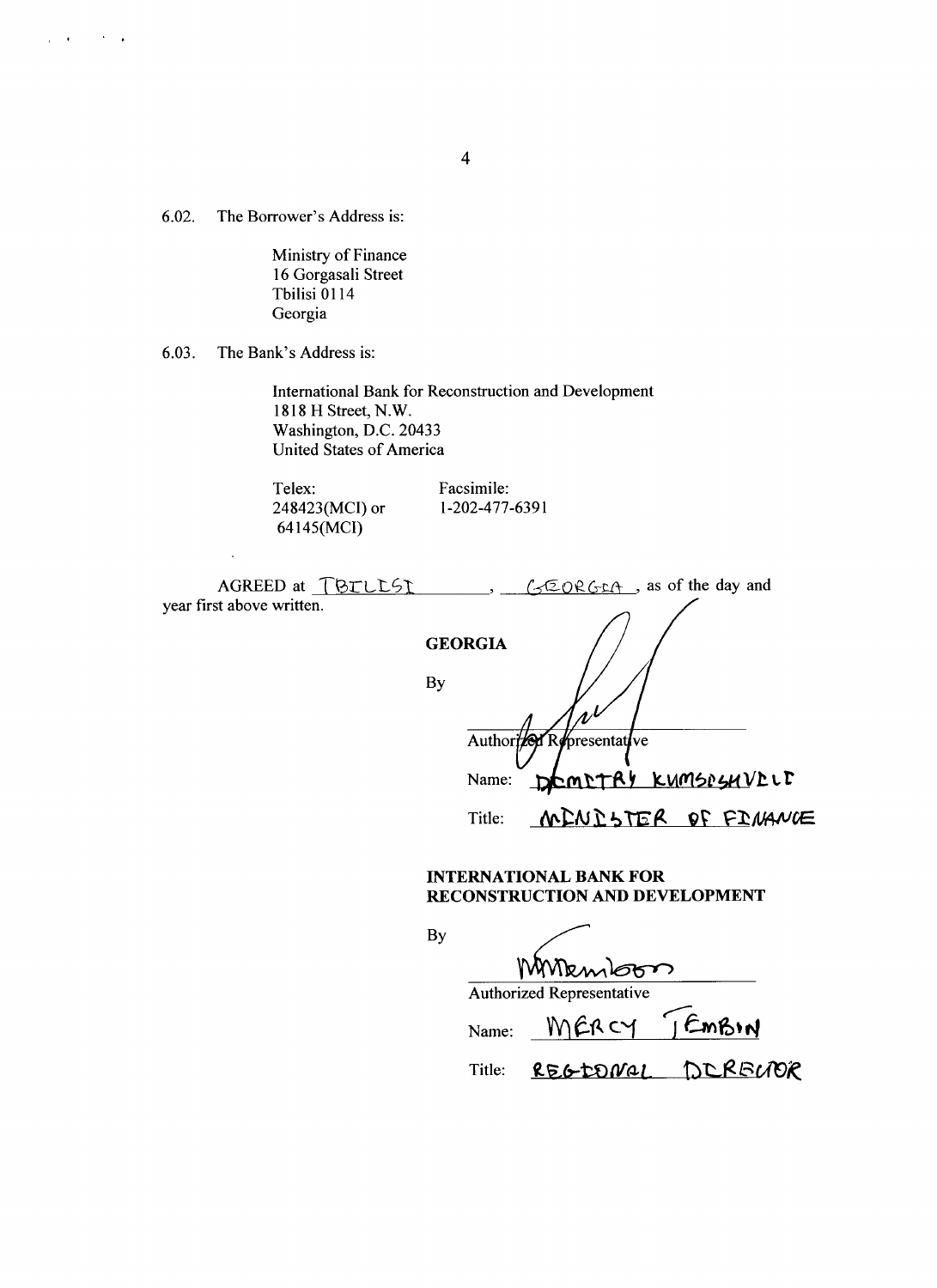**6.02.** The Borrower's Address is:

 $\mu$  , and  $\mu$  , and  $\lambda$  , and

Ministry of Finance **16** Gorgasali Street Tbilisi **0114** Georgia

**6.03.** The Bank's Address is:

l,

International Bank for Reconstruction and Development **1818** H Street, N.W. Washington, **D.C.** 20433 United States of America

Telex: Facsimile:<br>248423(MCI) or 1-202-477-6391 248423(MCI) or **1-202-477-6391** 64145(MCI)

| AGREED at TBILLSI<br>year first above written. |                | GEORGEA, as of the day and |
|------------------------------------------------|----------------|----------------------------|
|                                                | <b>GEORGIA</b> |                            |
|                                                | By             |                            |
|                                                |                | Authorized Representative  |
|                                                | Name:          | DEMETRY KUMSPSHVELF        |
|                                                | Title:         | MENESTER OF FINANCE        |
|                                                |                | INTEDNATIONAL BANK FOD     |

**By**

#### **INTERNATIONAL BANK FOR RECONSTRUCTION AND DEVELOPMENT**

| MMemboon |                                  |                   |  |  |  |
|----------|----------------------------------|-------------------|--|--|--|
|          | <b>Authorized Representative</b> |                   |  |  |  |
| Name:    | MERCY JEMBIN                     |                   |  |  |  |
| Title:   |                                  | REGEONAL DERECTOR |  |  |  |

4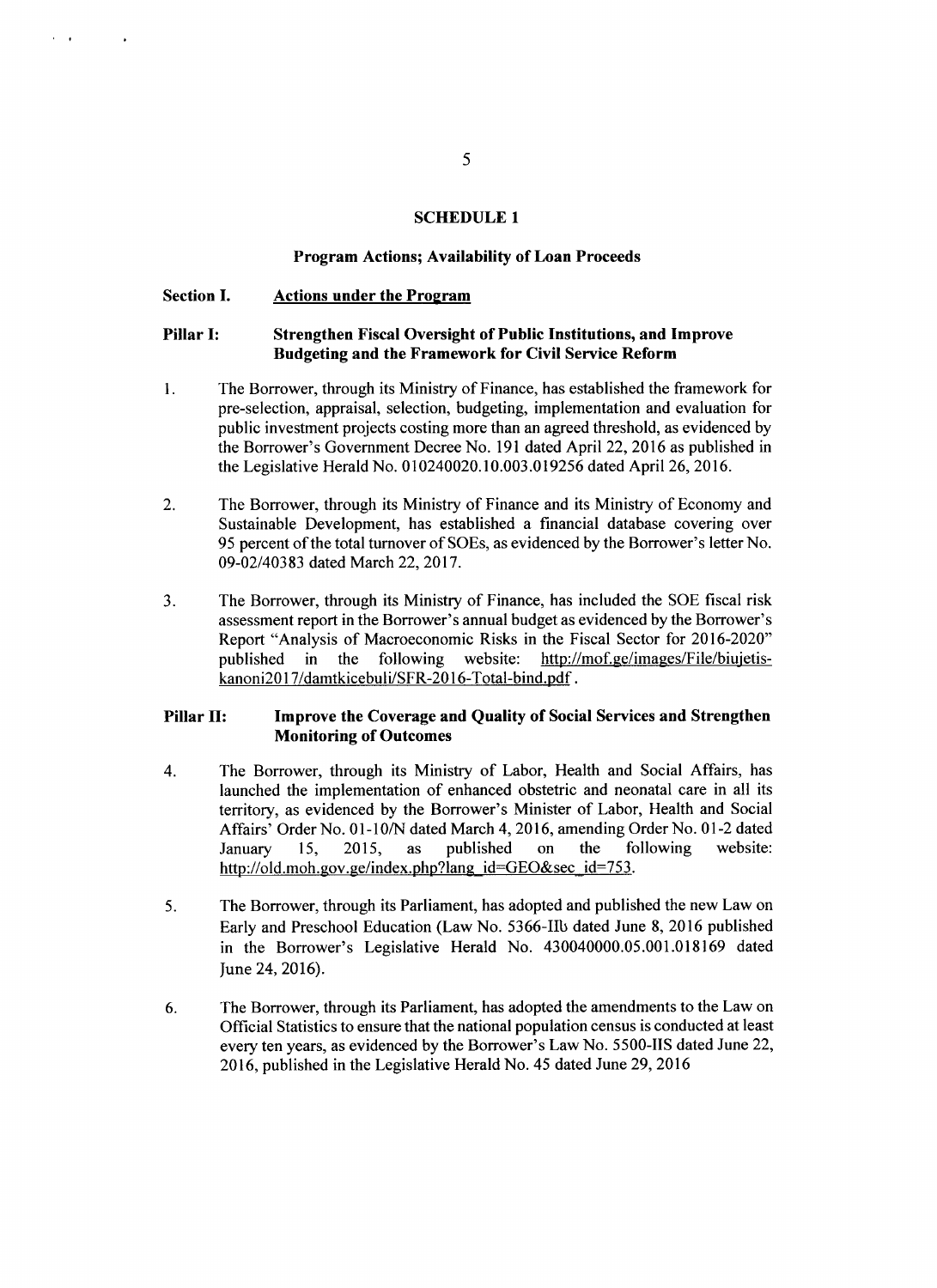# **SCHEDULE 1**

#### **Program Actions; Availability of Loan Proceeds**

#### **Section I. Actions under the Program**

# **Pillar I: Strengthen Fiscal Oversight of Public Institutions, and Improve Budgeting and the Framework for Civil Service Reform**

- 1. **The** Borrower, through its Ministry of Finance, has established the framework for pre-selection, appraisal, selection, budgeting, implementation and evaluation for public investment projects costing more than an agreed threshold, as evidenced **by** the Borrower's Government Decree No. **191** dated April 22, **2016** as published in the Legislative Herald No. **010240020.10.003.019256** dated April **26, 2016.**
- 2. The Borrower, through its Ministry of Finance and its Ministry of Economy and Sustainable Development, has established a financial database covering over **95** percent of the total turnover of SOEs, as evidenced **by** the Borrower's letter No. **09-02/40383** dated March 22, **2017.**
- **3.** The Borrower, through its Ministry of Finance, has included the **SOE** fiscal risk assessment report in the Borrower's annual budget as evidenced **by** the Borrower's Report "Analysis of Macroeconomic Risks in the Fiscal Sector for **2016-2020"** published in the following website: http://mof.ge/images/File/biujetiskanoni2017/damtkicebuli/SFR-2016-Total-bind.pdf.

# **Pillar H: Improve the Coverage and Quality of Social Services and Strengthen Monitoring of Outcomes**

- 4. The Borrower, through its Ministry of Labor, Health and Social Affairs, has launched the implementation of enhanced obstetric and neonatal care in all its territory, as evidenced **by** the Borrower's Minister of Labor, Health and Social Affairs' Order No. **01-1 0/N** dated March 4, **2016,** amending Order No. **01-2** dated January *15,* **2015,** as published on the following website: http://old.moh.gov.ge/index.php?lang\_id=GEO&sec\_id=753.
- **5.** The Borrower, through its Parliament, has adopted and published the new Law on Early and Preschool Education (Law No. 5366-IIb dated June **8, 2016** published in the Borrower's Legislative Herald No. 430040000.05.001.018169 dated June 24, **2016).**
- **6.** The Borrower, through its Parliament, has adopted the amendments to the Law on Official Statistics to ensure that the national population census is conducted at least every ten years, as evidenced **by** the Borrower's Law No. **5500-IIS** dated June 22, **2016,** published in the Legislative Herald No. 45 dated June **29, 2016**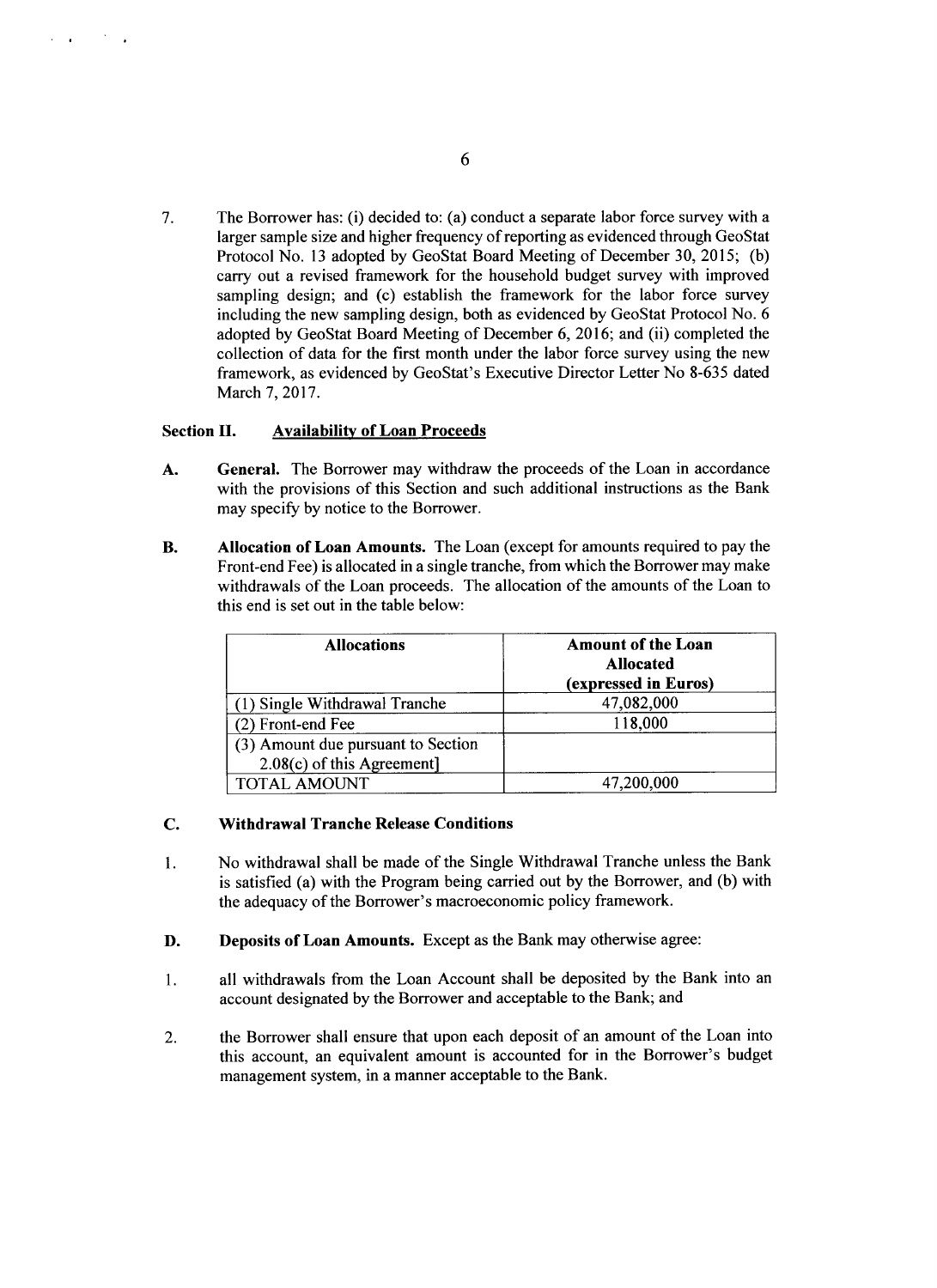**7.** The Borrower has: (i) decided to: (a) conduct a separate labor force survey with a larger sample size and higher frequency of reporting as evidenced through GeoStat Protocol No. **13** adopted **by** GeoStat Board Meeting of December **30,** *2015;* **(b)** carry out a revised framework for the household budget survey with improved sampling design; and (c) establish the framework for the labor force survey including the new sampling design, both as evidenced **by** GeoStat Protocol No. **6** adopted **by** GeoStat Board Meeting of December **6, 2016;** and (ii) completed the collection of data for the first month under the labor force survey using the new framework, as evidenced **by** GeoStat's Executive Director Letter No **8-635** dated March **7, 2017.**

#### Section **II. Availability of Loan Proceeds**

- **A.** General. The Borrower may withdraw the proceeds of the Loan in accordance with the provisions of this Section and such additional instructions as the Bank may specify **by** notice to the Borrower.
- B. **Allocation of Loan Amounts.** The Loan (except for amounts required to pay the Front-end Fee) is allocated in a single tranche, from which the Borrower may make withdrawals of the Loan proceeds. The allocation of the amounts of the Loan to this end is set out in the table below:

| <b>Allocations</b>                 | <b>Amount of the Loan</b><br><b>Allocated</b><br>(expressed in Euros) |
|------------------------------------|-----------------------------------------------------------------------|
| (1) Single Withdrawal Tranche      | 47,082,000                                                            |
| (2) Front-end Fee                  | 118,000                                                               |
| (3) Amount due pursuant to Section |                                                                       |
| 2.08(c) of this Agreement]         |                                                                       |
| <b>TOTAL AMOUNT</b>                | 47,200,000                                                            |

#### **C. Withdrawal Tranche Release Conditions**

- 1 **.** No withdrawal shall be made of the Single Withdrawal Tranche unless the Bank is satisfied **(a) with the Program being carried out by the Borrower, and (b) with** the adequacy of the Borrower's macroeconomic policy framework.
- **D.** Deposits **of Loan Amounts.** Except as the Bank may otherwise agree:
- 1. all withdrawals from the Loan Account shall be deposited **by** the Bank into an account designated **by** the Borrower and acceptable to the Bank; and
- 2. the Borrower shall ensure that upon each deposit of an amount of the Loan into this account, an equivalent amount is accounted for in the Borrower's budget management system, in a manner acceptable to the Bank.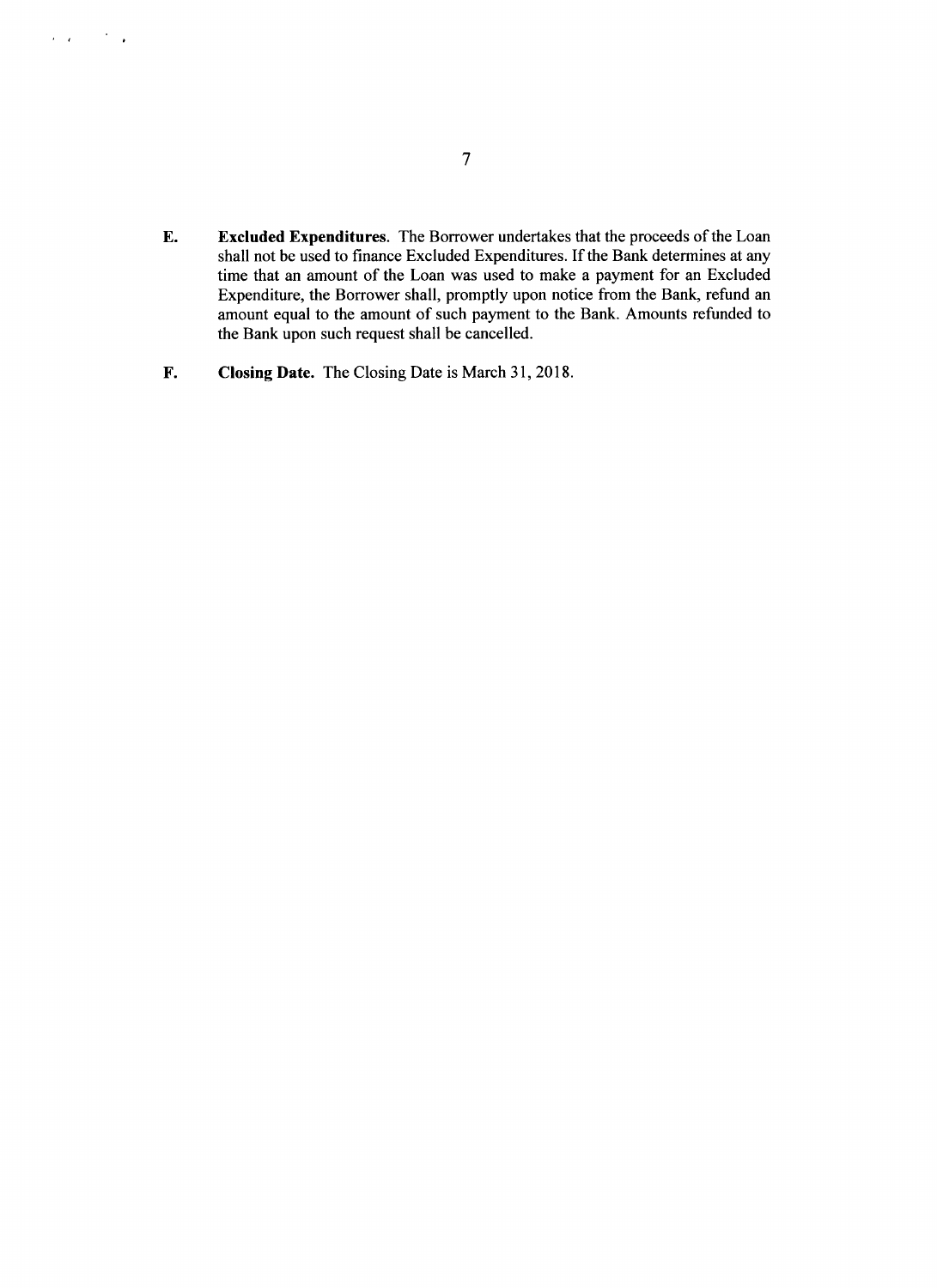- **E. Excluded Expenditures.** The Borrower undertakes that the proceeds of the Loan shall not be used to finance Excluded Expenditures. **If** the Bank determines at any time that an amount of the Loan was used to make a payment for an Excluded Expenditure, the Borrower shall, promptly upon notice from the Bank, refund an amount equal to the amount of such payment to the Bank. Amounts refunded to the Bank upon such request shall be cancelled.
- F. Closing Date. The Closing Date is March **31, 2018.**

 $\mathcal{L}^{\text{max}}$  and  $\mathcal{L}^{\text{max}}$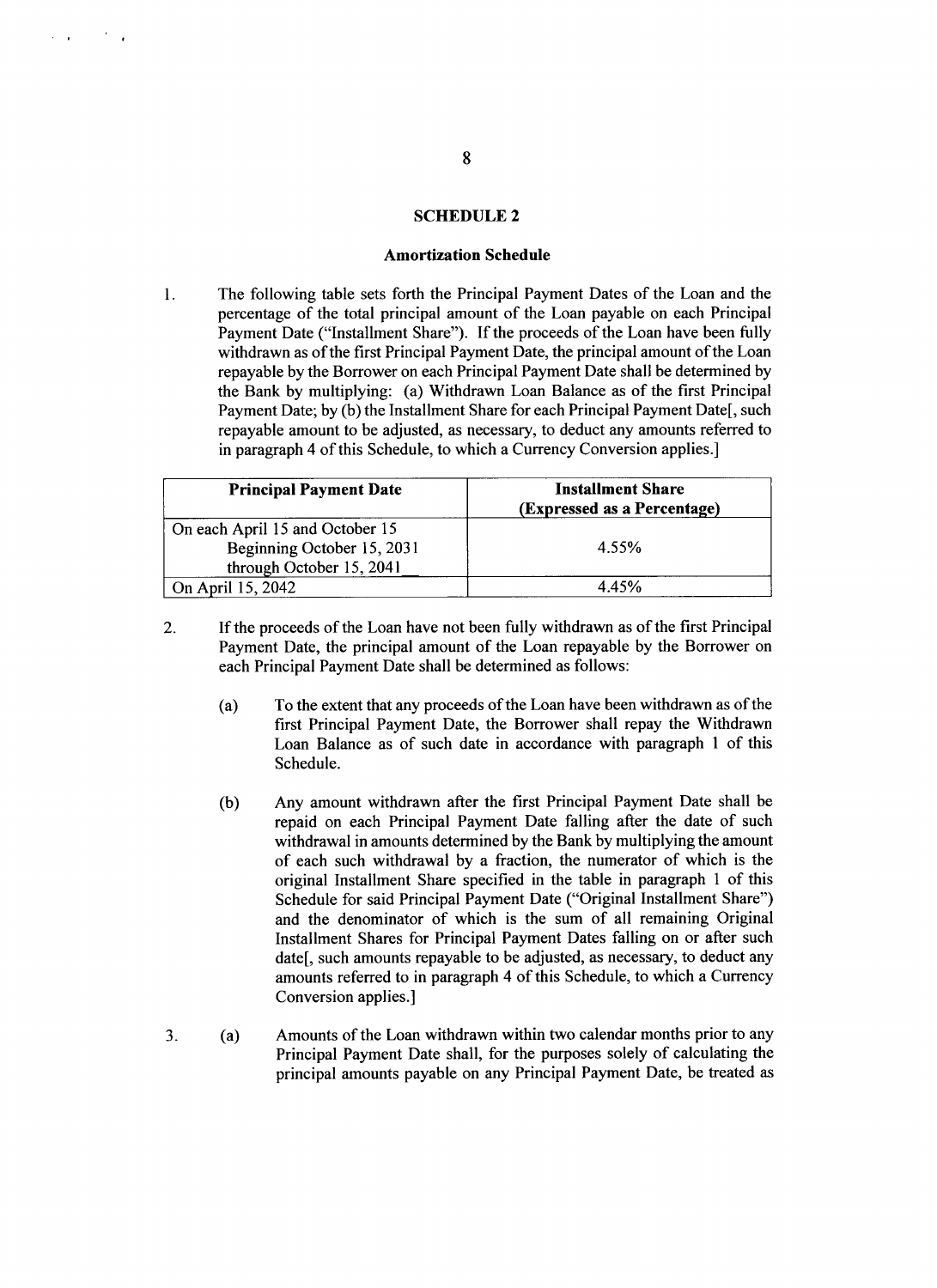# **SCHEDULE 2**

#### **Amortization Schedule**

 $\mathbf{1}$ . The following table sets forth the Principal Payment Dates of the Loan and the percentage of the total principal amount of the Loan payable on each Principal Payment Date ("Installment Share"). **If** the proceeds of the Loan have been **fully** withdrawn as of the first Principal Payment Date, the principal amount of the Loan repayable **by** the Borrower on each Principal Payment Date shall be determined **by** the Bank **by** multiplying: (a) Withdrawn Loan Balance as of the first Principal Payment Date; by (b) the Installment Share for each Principal Payment Date[, such repayable amount to be adjusted, as necessary, to deduct any amounts referred to in paragraph 4 of this Schedule, to which a Currency Conversion applies.]

| <b>Principal Payment Date</b>                                                             | <b>Installment Share</b><br>(Expressed as a Percentage) |
|-------------------------------------------------------------------------------------------|---------------------------------------------------------|
| On each April 15 and October 15<br>Beginning October 15, 2031<br>through October 15, 2041 | 4.55%                                                   |
| On April 15, 2042                                                                         | 4.45%                                                   |

- 2. **If** the proceeds of the Loan have not been fully withdrawn as of the first Principal Payment Date, the principal amount of the Loan repayable **by** the Borrower on each Principal Payment Date shall be determined as follows:
	- (a) To the extent that any proceeds of the Loan have been withdrawn as of the first Principal Payment Date, the Borrower shall repay the Withdrawn Loan Balance as of such date in accordance with paragraph 1 of this Schedule.
	- **(b)** Any amount withdrawn after the first Principal Payment Date shall be repaid on each Principal Payment Date falling after the date of such withdrawal in amounts determined **by** the Bank **by** multiplying the amount of each such withdrawal **by** a fraction, the numerator of which is the original Installment Share specified in the table in paragraph 1 of this Schedule for said Principal Payment Date ("Original Installment Share") and the denominator of which is the sum of all remaining Original Installment Shares for Principal Payment Dates falling on or after such date[, such amounts repayable to be adjusted, as necessary, to deduct any amounts referred to in paragraph 4 of this Schedule, to which a Currency Conversion applies.]
- **3.** (a) Amounts of the Loan withdrawn within two calendar months prior to any Principal Payment Date shall, for the purposes solely of calculating the principal amounts payable on any Principal Payment Date, be treated as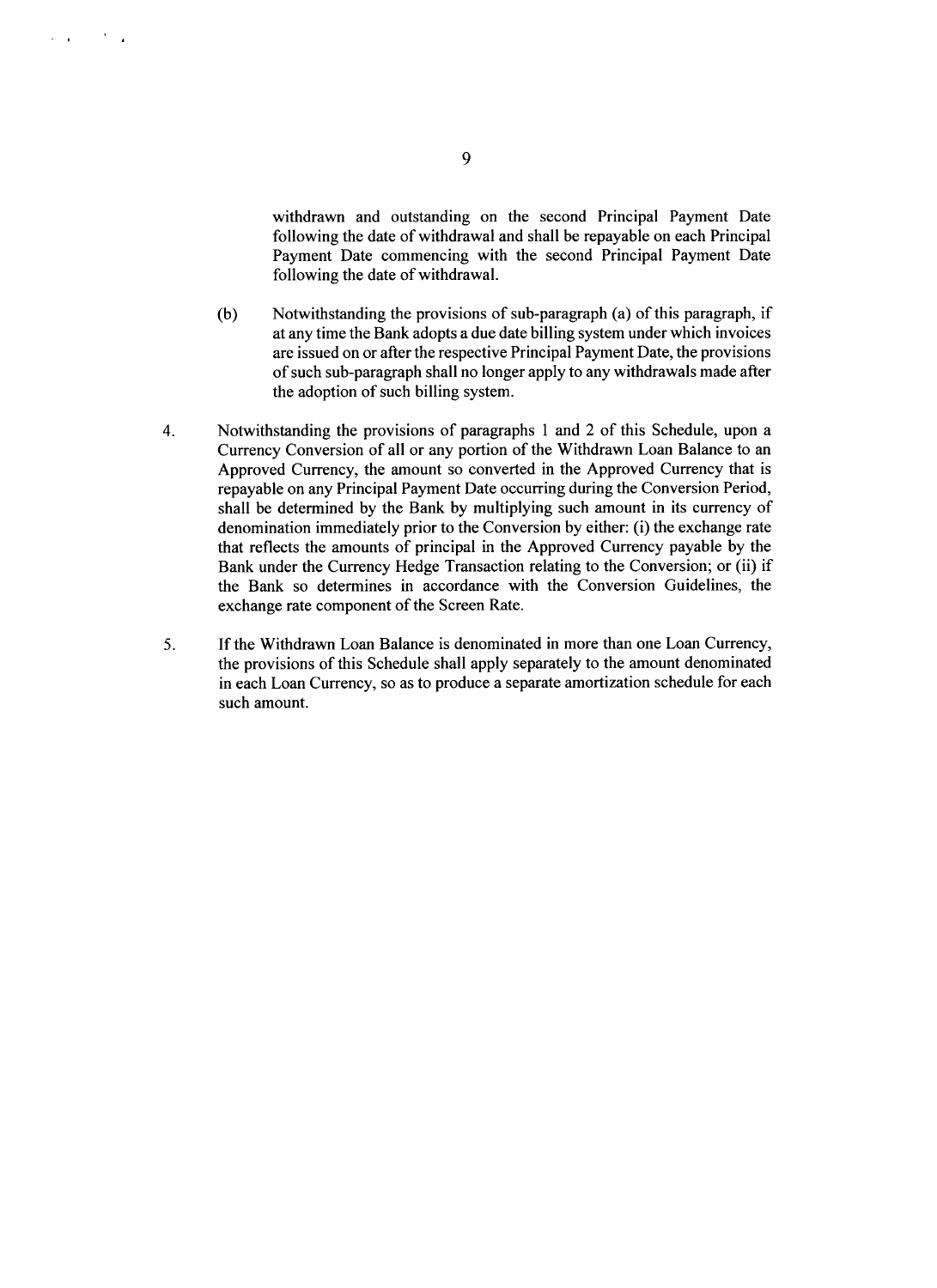withdrawn and outstanding on the second Principal Payment Date following the date of withdrawal and shall be repayable on each Principal Payment Date commencing with the second Principal Payment Date following the date of withdrawal.

- **(b)** Notwithstanding the provisions of sub-paragraph (a) of this paragraph, if at any time the Bank adopts a due date billing system under which invoices are issued on or after the respective Principal Payment Date, the provisions of such sub-paragraph shall no longer apply to any withdrawals made after the adoption of such billing system.
- 4. Notwithstanding the provisions of paragraphs 1 and 2 of this Schedule, upon a Currency Conversion of all or any portion of the Withdrawn Loan Balance to an Approved Currency, the amount so converted in the Approved Currency that is repayable on any Principal Payment Date occurring during the Conversion Period, shall be determined **by** the Bank **by** multiplying such amount in its currency of denomination immediately prior to the Conversion **by** either: (i) the exchange rate that reflects the amounts of principal in the Approved Currency payable **by** the Bank under the Currency Hedge Transaction relating to the Conversion; or (ii) if the Bank so determines in accordance with the Conversion Guidelines, the exchange rate component of the Screen Rate.
- **5. If** the Withdrawn Loan Balance is denominated in more than one Loan Currency, the provisions of this Schedule shall apply separately to the amount denominated in each Loan Currency, so as to produce a separate amortization schedule for each such amount.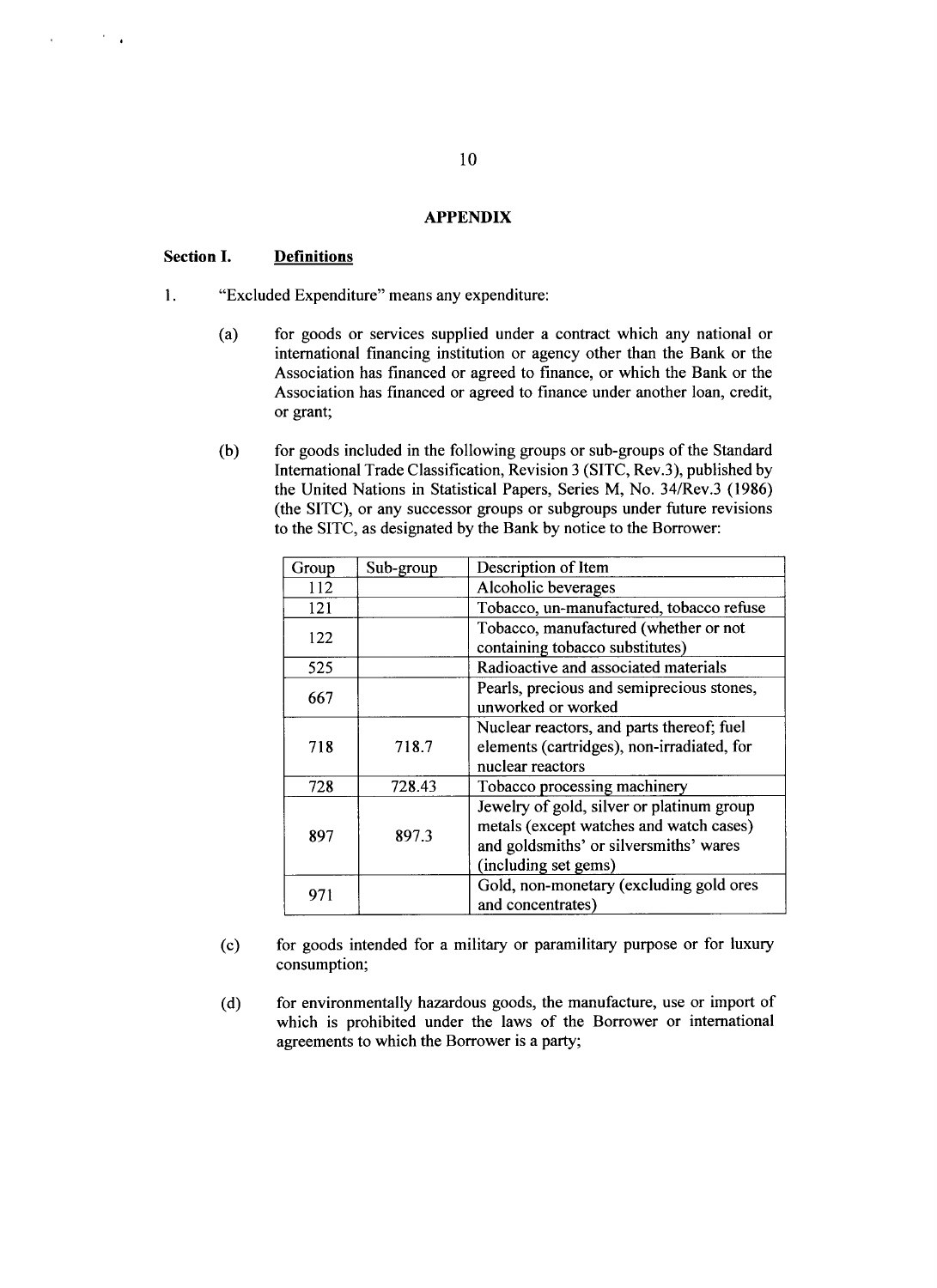### **APPENDIX**

# **Section I. Definitions**

- 1. "Excluded Expenditure" means any expenditure:
	- (a) for goods or services supplied under a contract which any national or international financing institution or agency other than the Bank or the Association has financed or agreed to finance, or which the Bank or the Association has financed or agreed to finance under another loan, credit, or grant;
	- **(b)** for goods included in the following groups or sub-groups of the Standard International Trade Classification, Revision **3 (SITC,** Rev.3), published **by** the United Nations in Statistical Papers, Series M, No. 34/Rev.3 **(1986)** (the **SITC),** or any successor groups or subgroups under future revisions to the **SITC,** as designated **by** the Bank **by** notice to the Borrower:

| Group | Sub-group | Description of Item                        |
|-------|-----------|--------------------------------------------|
| 112   |           | Alcoholic beverages                        |
| 121   |           | Tobacco, un-manufactured, tobacco refuse   |
| 122   |           | Tobacco, manufactured (whether or not      |
|       |           | containing tobacco substitutes)            |
| 525   |           | Radioactive and associated materials       |
| 667   |           | Pearls, precious and semiprecious stones,  |
|       |           | unworked or worked                         |
| 718   | 718.7     | Nuclear reactors, and parts thereof; fuel  |
|       |           | elements (cartridges), non-irradiated, for |
|       |           | nuclear reactors                           |
| 728   | 728.43    | Tobacco processing machinery               |
| 897   | 897.3     | Jewelry of gold, silver or platinum group  |
|       |           | metals (except watches and watch cases)    |
|       |           | and goldsmiths' or silversmiths' wares     |
|       |           | (including set gems)                       |
| 971   |           | Gold, non-monetary (excluding gold ores    |
|       |           | and concentrates)                          |

- **(c)** for goods intended for a military or paramilitary purpose or for luxury consumption;
- **(d)** for environmentally hazardous goods, the manufacture, use or import of which is prohibited under the laws of the Borrower or international agreements to which the Borrower is a party;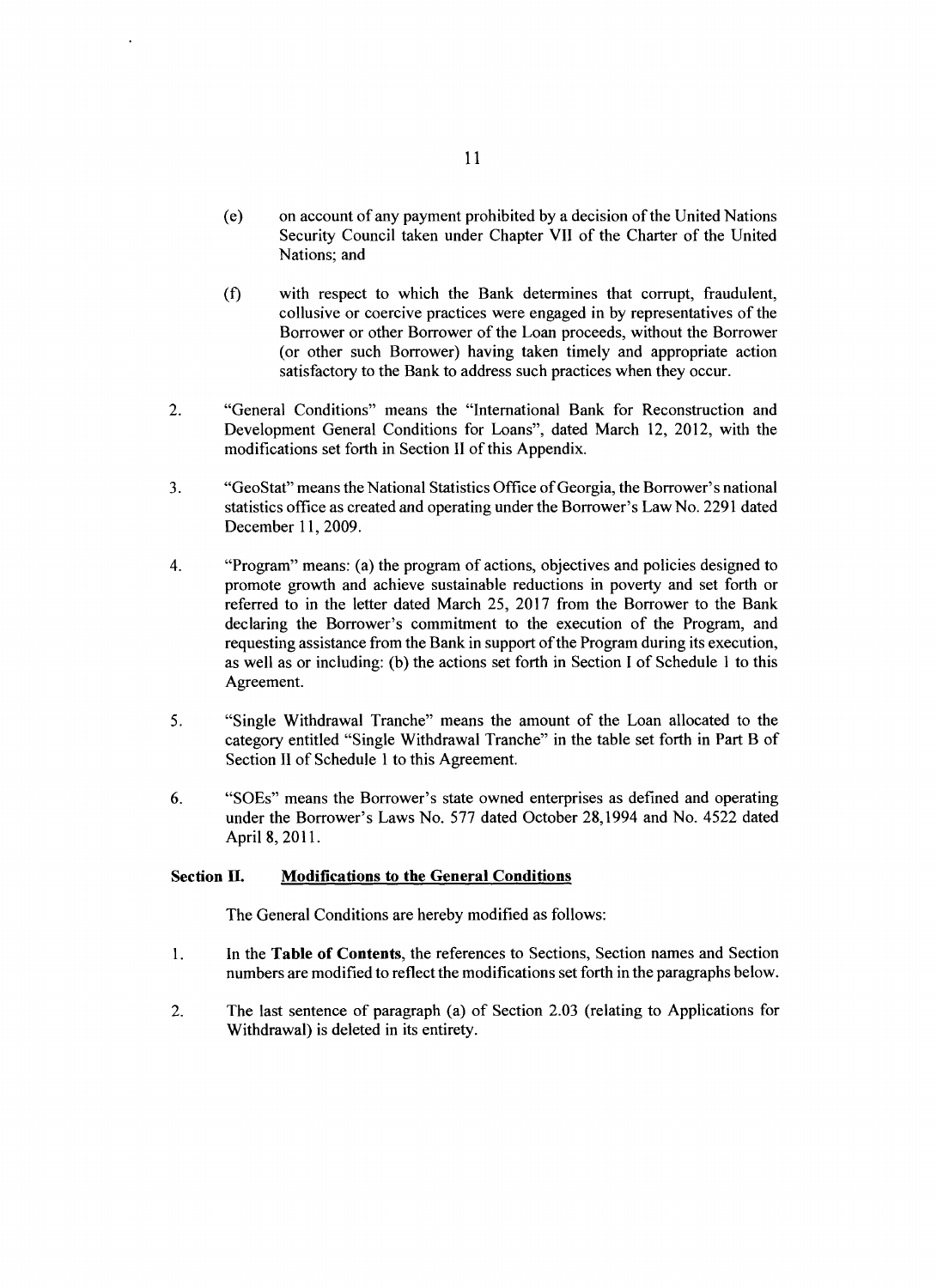- (e) on account of any payment prohibited **by** a decision of the United Nations Security Council taken under Chapter VII of the Charter of the United Nations; and
- **(f)** with respect to which the Bank determines that corrupt, fraudulent, collusive or coercive practices were engaged in **by** representatives of the Borrower or other Borrower of the Loan proceeds, without the Borrower (or other such Borrower) having taken timely and appropriate action satisfactory to the Bank to address such practices when they occur.
- 2. "General Conditions" means the "International Bank for Reconstruction and Development General Conditions for Loans", dated March 12, 2012, with the modifications set forth in Section II of this Appendix.
- **3.** "GeoStat" means the National Statistics Office of Georgia, the Borrower's national statistics office as created and operating under the Borrower's Law No. **2291** dated December **11, 2009.**
- 4. "Program" means: (a) the program of actions, objectives and policies designed to promote growth and achieve sustainable reductions in poverty and set forth or referred to in the letter dated March **25, 2017** from the Borrower to the Bank declaring the Borrower's commitment to the execution of the Program, and requesting assistance from the Bank in support of the Program during its execution, as well as or including: **(b)** the actions set forth in Section **I** of Schedule **I** to this Agreement.
- **5.** "Single Withdrawal Tranche" means the amount of the Loan allocated to the category entitled "Single Withdrawal Tranche" in the table set forth in Part B of Section II of Schedule 1 to this Agreement.
- **6.** "SOEs" means the Borrower's state owned enterprises as defined and operating under the Borrower's Laws No. **577** dated October 28,1994 and No. 4522 dated April **8, 2011.**

# Section **H. Modifications to the General Conditions**

The General Conditions are hereby modified as follows:

- <sup>1</sup>**.** In the Table of Contents, the references to Sections, Section names and Section numbers are modified to reflect the modifications set forth in the paragraphs below.
- 2. The last sentence of paragraph (a) of Section **2.03** (relating to Applications for Withdrawal) is deleted in its entirety.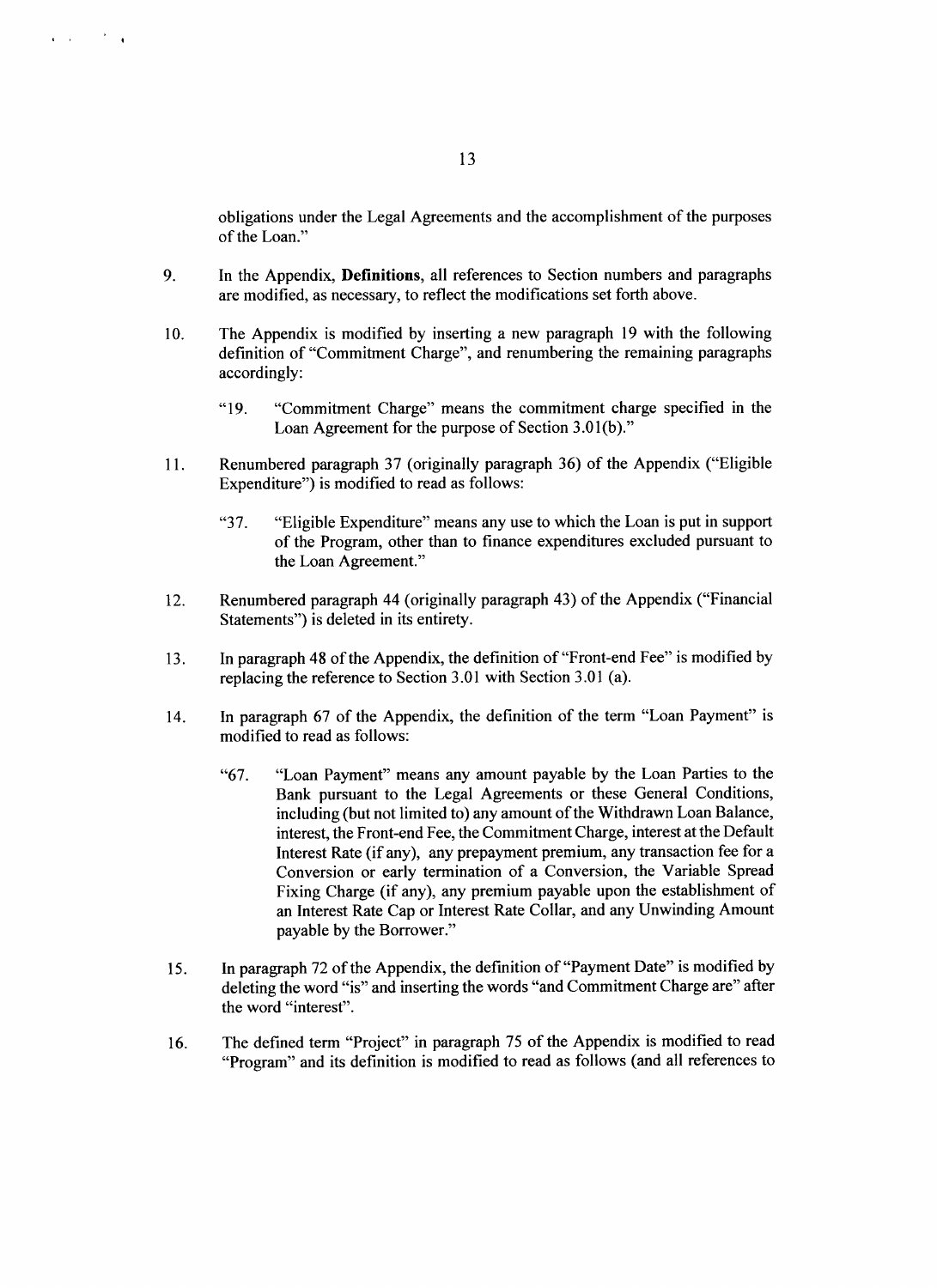obligations under the Legal Agreements and the accomplishment of the purposes of the Loan."

- **9.** In the Appendix, **Definitions, all** references to Section numbers and paragraphs are modified, as necessary, to reflect the modifications set forth above.
- **10.** The Appendix is modified **by** inserting a new paragraph **19** with the following definition of "Commitment Charge", and renumbering the remaining paragraphs accordingly:
	- "19. "Commitment Charge" means the commitment charge specified in the Loan Agreement for the purpose of Section **3.0 1(b)."**
- **11.** Renumbered paragraph **37** (originally paragraph **36)** of the Appendix ("Eligible Expenditure") is modified to read as follows:
	- **"37.** "Eligible Expenditure" means any use to which the Loan is put in support of the Program, other than to finance expenditures excluded pursuant to the Loan Agreement."
- 12. Renumbered paragraph 44 (originally paragraph 43) of the Appendix ("Financial Statements") is deleted in its entirety.
- **13.** In paragraph 48 of the Appendix, the definition of "Front-end Fee" is modified **by** replacing the reference to Section **3.01** with Section **3.01** (a).
- 14. In paragraph **67** of the Appendix, the definition of the term "Loan Payment" is modified to read as follows:
	- **"67.** "Loan Payment" means any amount payable **by** the Loan Parties to the Bank pursuant to the Legal Agreements or these General Conditions, including (but not limited to) any amount of the Withdrawn Loan Balance, interest, the Front-end Fee, the Commitment Charge, interest at the Default Interest Rate (if any), any prepayment premium, any transaction fee for a Conversion or early termination of a Conversion, the Variable Spread Fixing Charge (if any), any premium payable upon the establishment of an Interest Rate Cap or Interest Rate Collar, and any Unwinding Amount payable **by** the Borrower."
- *15.* **In paragraph 72** of the Appendix, the definition of "Payment Date" is modified **by** deleting the word "is" and inserting the words "and Commitment Charge are" after the word "interest".
- **16.** The defined term "Project" in paragraph **75** of the Appendix is modified to read "Program" and its definition is modified to read as follows (and all references to

 $\sim 10^{-11}$